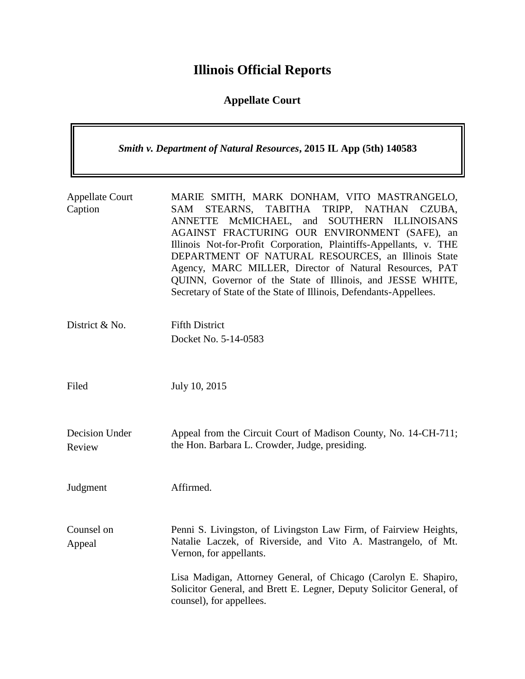## **Illinois Official Reports**

## **Appellate Court**

| <b>Smith v. Department of Natural Resources, 2015 IL App (5th) 140583</b> |                                                                                                                                                                                                                                                                                                                                                                                                                                                                                                                                                  |
|---------------------------------------------------------------------------|--------------------------------------------------------------------------------------------------------------------------------------------------------------------------------------------------------------------------------------------------------------------------------------------------------------------------------------------------------------------------------------------------------------------------------------------------------------------------------------------------------------------------------------------------|
| <b>Appellate Court</b><br>Caption                                         | MARIE SMITH, MARK DONHAM, VITO MASTRANGELO,<br>TRIPP, NATHAN<br>STEARNS, TABITHA<br><b>SAM</b><br>CZUBA.<br>McMICHAEL, and<br>SOUTHERN ILLINOISANS<br><b>ANNETTE</b><br>AGAINST FRACTURING OUR ENVIRONMENT (SAFE), an<br>Illinois Not-for-Profit Corporation, Plaintiffs-Appellants, v. THE<br>DEPARTMENT OF NATURAL RESOURCES, an Illinois State<br>Agency, MARC MILLER, Director of Natural Resources, PAT<br>QUINN, Governor of the State of Illinois, and JESSE WHITE,<br>Secretary of State of the State of Illinois, Defendants-Appellees. |
| District & No.                                                            | <b>Fifth District</b><br>Docket No. 5-14-0583                                                                                                                                                                                                                                                                                                                                                                                                                                                                                                    |
| Filed                                                                     | July 10, 2015                                                                                                                                                                                                                                                                                                                                                                                                                                                                                                                                    |
| Decision Under<br>Review                                                  | Appeal from the Circuit Court of Madison County, No. 14-CH-711;<br>the Hon. Barbara L. Crowder, Judge, presiding.                                                                                                                                                                                                                                                                                                                                                                                                                                |
| Judgment                                                                  | Affirmed.                                                                                                                                                                                                                                                                                                                                                                                                                                                                                                                                        |
| Counsel on<br>Appeal                                                      | Penni S. Livingston, of Livingston Law Firm, of Fairview Heights,<br>Natalie Laczek, of Riverside, and Vito A. Mastrangelo, of Mt.<br>Vernon, for appellants.                                                                                                                                                                                                                                                                                                                                                                                    |
|                                                                           | Lisa Madigan, Attorney General, of Chicago (Carolyn E. Shapiro,<br>Solicitor General, and Brett E. Legner, Deputy Solicitor General, of<br>counsel), for appellees.                                                                                                                                                                                                                                                                                                                                                                              |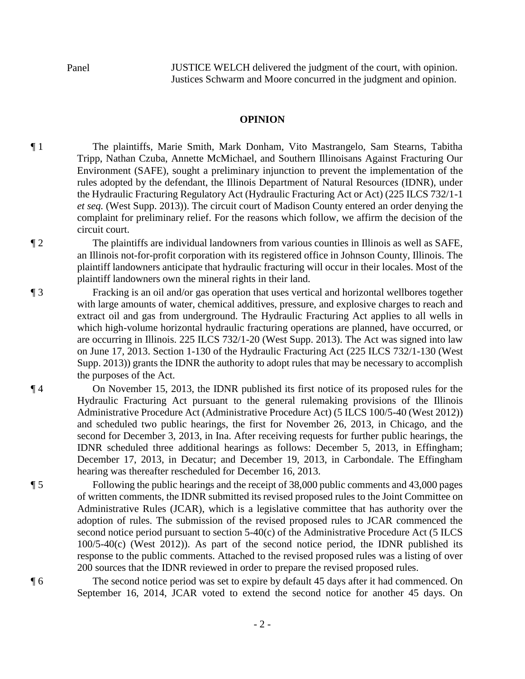Panel JUSTICE WELCH delivered the judgment of the court, with opinion. Justices Schwarm and Moore concurred in the judgment and opinion.

## **OPINION**

¶ 1 The plaintiffs, Marie Smith, Mark Donham, Vito Mastrangelo, Sam Stearns, Tabitha Tripp, Nathan Czuba, Annette McMichael, and Southern Illinoisans Against Fracturing Our Environment (SAFE), sought a preliminary injunction to prevent the implementation of the rules adopted by the defendant, the Illinois Department of Natural Resources (IDNR), under the Hydraulic Fracturing Regulatory Act (Hydraulic Fracturing Act or Act) (225 ILCS 732/1-1 *et seq.* (West Supp. 2013)). The circuit court of Madison County entered an order denying the complaint for preliminary relief. For the reasons which follow, we affirm the decision of the circuit court.

¶ 2 The plaintiffs are individual landowners from various counties in Illinois as well as SAFE, an Illinois not-for-profit corporation with its registered office in Johnson County, Illinois. The plaintiff landowners anticipate that hydraulic fracturing will occur in their locales. Most of the plaintiff landowners own the mineral rights in their land.

¶ 3 Fracking is an oil and/or gas operation that uses vertical and horizontal wellbores together with large amounts of water, chemical additives, pressure, and explosive charges to reach and extract oil and gas from underground. The Hydraulic Fracturing Act applies to all wells in which high-volume horizontal hydraulic fracturing operations are planned, have occurred, or are occurring in Illinois. 225 ILCS 732/1-20 (West Supp. 2013). The Act was signed into law on June 17, 2013. Section 1-130 of the Hydraulic Fracturing Act (225 ILCS 732/1-130 (West Supp. 2013)) grants the IDNR the authority to adopt rules that may be necessary to accomplish the purposes of the Act.

¶ 4 On November 15, 2013, the IDNR published its first notice of its proposed rules for the Hydraulic Fracturing Act pursuant to the general rulemaking provisions of the Illinois Administrative Procedure Act (Administrative Procedure Act) (5 ILCS 100/5-40 (West 2012)) and scheduled two public hearings, the first for November 26, 2013, in Chicago, and the second for December 3, 2013, in Ina. After receiving requests for further public hearings, the IDNR scheduled three additional hearings as follows: December 5, 2013, in Effingham; December 17, 2013, in Decatur; and December 19, 2013, in Carbondale. The Effingham hearing was thereafter rescheduled for December 16, 2013.

¶ 5 Following the public hearings and the receipt of 38,000 public comments and 43,000 pages of written comments, the IDNR submitted its revised proposed rules to the Joint Committee on Administrative Rules (JCAR), which is a legislative committee that has authority over the adoption of rules. The submission of the revised proposed rules to JCAR commenced the second notice period pursuant to section 5-40(c) of the Administrative Procedure Act (5 ILCS 100/5-40(c) (West 2012)). As part of the second notice period, the IDNR published its response to the public comments. Attached to the revised proposed rules was a listing of over 200 sources that the IDNR reviewed in order to prepare the revised proposed rules.

¶ 6 The second notice period was set to expire by default 45 days after it had commenced. On September 16, 2014, JCAR voted to extend the second notice for another 45 days. On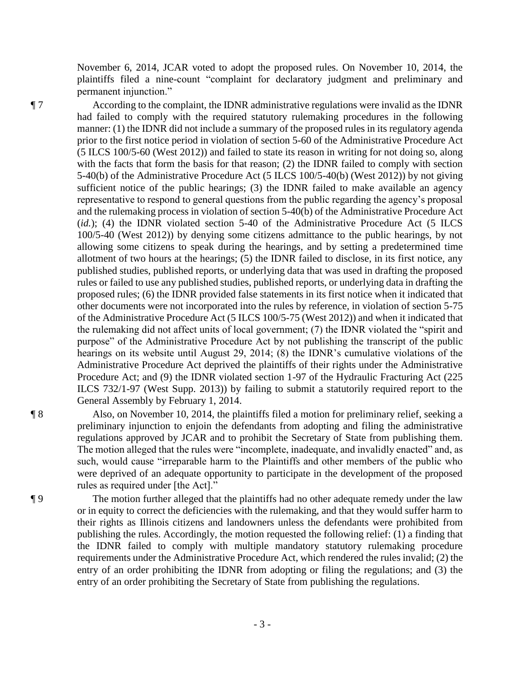November 6, 2014, JCAR voted to adopt the proposed rules. On November 10, 2014, the plaintiffs filed a nine-count "complaint for declaratory judgment and preliminary and permanent injunction."

¶ 7 According to the complaint, the IDNR administrative regulations were invalid as the IDNR had failed to comply with the required statutory rulemaking procedures in the following manner: (1) the IDNR did not include a summary of the proposed rules in its regulatory agenda prior to the first notice period in violation of section 5-60 of the Administrative Procedure Act (5 ILCS 100/5-60 (West 2012)) and failed to state its reason in writing for not doing so, along with the facts that form the basis for that reason; (2) the IDNR failed to comply with section 5-40(b) of the Administrative Procedure Act (5 ILCS 100/5-40(b) (West 2012)) by not giving sufficient notice of the public hearings; (3) the IDNR failed to make available an agency representative to respond to general questions from the public regarding the agency's proposal and the rulemaking process in violation of section 5-40(b) of the Administrative Procedure Act (*id.*); (4) the IDNR violated section 5-40 of the Administrative Procedure Act (5 ILCS 100/5-40 (West 2012)) by denying some citizens admittance to the public hearings, by not allowing some citizens to speak during the hearings, and by setting a predetermined time allotment of two hours at the hearings; (5) the IDNR failed to disclose, in its first notice, any published studies, published reports, or underlying data that was used in drafting the proposed rules or failed to use any published studies, published reports, or underlying data in drafting the proposed rules; (6) the IDNR provided false statements in its first notice when it indicated that other documents were not incorporated into the rules by reference, in violation of section 5-75 of the Administrative Procedure Act (5 ILCS 100/5-75 (West 2012)) and when it indicated that the rulemaking did not affect units of local government; (7) the IDNR violated the "spirit and purpose" of the Administrative Procedure Act by not publishing the transcript of the public hearings on its website until August 29, 2014; (8) the IDNR's cumulative violations of the Administrative Procedure Act deprived the plaintiffs of their rights under the Administrative Procedure Act; and (9) the IDNR violated section 1-97 of the Hydraulic Fracturing Act (225 ILCS 732/1-97 (West Supp. 2013)) by failing to submit a statutorily required report to the General Assembly by February 1, 2014.

¶ 8 Also, on November 10, 2014, the plaintiffs filed a motion for preliminary relief, seeking a preliminary injunction to enjoin the defendants from adopting and filing the administrative regulations approved by JCAR and to prohibit the Secretary of State from publishing them. The motion alleged that the rules were "incomplete, inadequate, and invalidly enacted" and, as such, would cause "irreparable harm to the Plaintiffs and other members of the public who were deprived of an adequate opportunity to participate in the development of the proposed rules as required under [the Act]."

¶ 9 The motion further alleged that the plaintiffs had no other adequate remedy under the law or in equity to correct the deficiencies with the rulemaking, and that they would suffer harm to their rights as Illinois citizens and landowners unless the defendants were prohibited from publishing the rules. Accordingly, the motion requested the following relief: (1) a finding that the IDNR failed to comply with multiple mandatory statutory rulemaking procedure requirements under the Administrative Procedure Act, which rendered the rules invalid; (2) the entry of an order prohibiting the IDNR from adopting or filing the regulations; and (3) the entry of an order prohibiting the Secretary of State from publishing the regulations.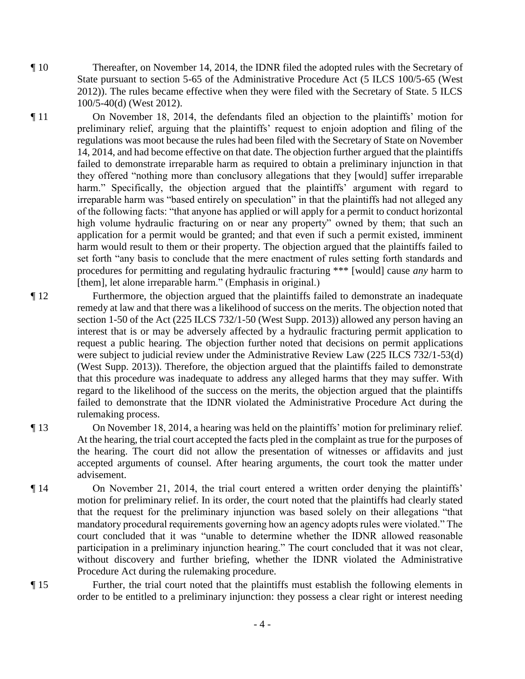¶ 10 Thereafter, on November 14, 2014, the IDNR filed the adopted rules with the Secretary of State pursuant to section 5-65 of the Administrative Procedure Act (5 ILCS 100/5-65 (West 2012)). The rules became effective when they were filed with the Secretary of State. 5 ILCS 100/5-40(d) (West 2012).

¶ 11 On November 18, 2014, the defendants filed an objection to the plaintiffs' motion for preliminary relief, arguing that the plaintiffs' request to enjoin adoption and filing of the regulations was moot because the rules had been filed with the Secretary of State on November 14, 2014, and had become effective on that date. The objection further argued that the plaintiffs failed to demonstrate irreparable harm as required to obtain a preliminary injunction in that they offered "nothing more than conclusory allegations that they [would] suffer irreparable harm." Specifically, the objection argued that the plaintiffs' argument with regard to irreparable harm was "based entirely on speculation" in that the plaintiffs had not alleged any of the following facts: "that anyone has applied or will apply for a permit to conduct horizontal high volume hydraulic fracturing on or near any property" owned by them; that such an application for a permit would be granted; and that even if such a permit existed, imminent harm would result to them or their property. The objection argued that the plaintiffs failed to set forth "any basis to conclude that the mere enactment of rules setting forth standards and procedures for permitting and regulating hydraulic fracturing \*\*\* [would] cause *any* harm to [them], let alone irreparable harm." (Emphasis in original.)

- ¶ 12 Furthermore, the objection argued that the plaintiffs failed to demonstrate an inadequate remedy at law and that there was a likelihood of success on the merits. The objection noted that section 1-50 of the Act (225 ILCS 732/1-50 (West Supp. 2013)) allowed any person having an interest that is or may be adversely affected by a hydraulic fracturing permit application to request a public hearing. The objection further noted that decisions on permit applications were subject to judicial review under the Administrative Review Law (225 ILCS 732/1-53(d) (West Supp. 2013)). Therefore, the objection argued that the plaintiffs failed to demonstrate that this procedure was inadequate to address any alleged harms that they may suffer. With regard to the likelihood of the success on the merits, the objection argued that the plaintiffs failed to demonstrate that the IDNR violated the Administrative Procedure Act during the rulemaking process.
- ¶ 13 On November 18, 2014, a hearing was held on the plaintiffs' motion for preliminary relief. At the hearing, the trial court accepted the facts pled in the complaint as true for the purposes of the hearing. The court did not allow the presentation of witnesses or affidavits and just accepted arguments of counsel. After hearing arguments, the court took the matter under advisement.
- ¶ 14 On November 21, 2014, the trial court entered a written order denying the plaintiffs' motion for preliminary relief. In its order, the court noted that the plaintiffs had clearly stated that the request for the preliminary injunction was based solely on their allegations "that mandatory procedural requirements governing how an agency adopts rules were violated." The court concluded that it was "unable to determine whether the IDNR allowed reasonable participation in a preliminary injunction hearing." The court concluded that it was not clear, without discovery and further briefing, whether the IDNR violated the Administrative Procedure Act during the rulemaking procedure.
- ¶ 15 Further, the trial court noted that the plaintiffs must establish the following elements in order to be entitled to a preliminary injunction: they possess a clear right or interest needing

- 4 -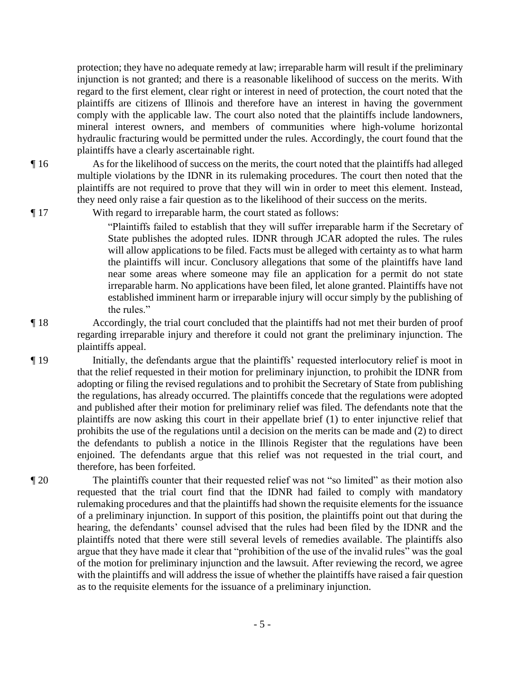protection; they have no adequate remedy at law; irreparable harm will result if the preliminary injunction is not granted; and there is a reasonable likelihood of success on the merits. With regard to the first element, clear right or interest in need of protection, the court noted that the plaintiffs are citizens of Illinois and therefore have an interest in having the government comply with the applicable law. The court also noted that the plaintiffs include landowners, mineral interest owners, and members of communities where high-volume horizontal hydraulic fracturing would be permitted under the rules. Accordingly, the court found that the plaintiffs have a clearly ascertainable right.

¶ 16 As for the likelihood of success on the merits, the court noted that the plaintiffs had alleged multiple violations by the IDNR in its rulemaking procedures. The court then noted that the plaintiffs are not required to prove that they will win in order to meet this element. Instead, they need only raise a fair question as to the likelihood of their success on the merits.

¶ 17 With regard to irreparable harm, the court stated as follows:

"Plaintiffs failed to establish that they will suffer irreparable harm if the Secretary of State publishes the adopted rules. IDNR through JCAR adopted the rules. The rules will allow applications to be filed. Facts must be alleged with certainty as to what harm the plaintiffs will incur. Conclusory allegations that some of the plaintiffs have land near some areas where someone may file an application for a permit do not state irreparable harm. No applications have been filed, let alone granted. Plaintiffs have not established imminent harm or irreparable injury will occur simply by the publishing of the rules."

¶ 18 Accordingly, the trial court concluded that the plaintiffs had not met their burden of proof regarding irreparable injury and therefore it could not grant the preliminary injunction. The plaintiffs appeal.

¶ 19 Initially, the defendants argue that the plaintiffs' requested interlocutory relief is moot in that the relief requested in their motion for preliminary injunction, to prohibit the IDNR from adopting or filing the revised regulations and to prohibit the Secretary of State from publishing the regulations, has already occurred. The plaintiffs concede that the regulations were adopted and published after their motion for preliminary relief was filed. The defendants note that the plaintiffs are now asking this court in their appellate brief (1) to enter injunctive relief that prohibits the use of the regulations until a decision on the merits can be made and (2) to direct the defendants to publish a notice in the Illinois Register that the regulations have been enjoined. The defendants argue that this relief was not requested in the trial court, and therefore, has been forfeited.

¶ 20 The plaintiffs counter that their requested relief was not "so limited" as their motion also requested that the trial court find that the IDNR had failed to comply with mandatory rulemaking procedures and that the plaintiffs had shown the requisite elements for the issuance of a preliminary injunction. In support of this position, the plaintiffs point out that during the hearing, the defendants' counsel advised that the rules had been filed by the IDNR and the plaintiffs noted that there were still several levels of remedies available. The plaintiffs also argue that they have made it clear that "prohibition of the use of the invalid rules" was the goal of the motion for preliminary injunction and the lawsuit. After reviewing the record, we agree with the plaintiffs and will address the issue of whether the plaintiffs have raised a fair question as to the requisite elements for the issuance of a preliminary injunction.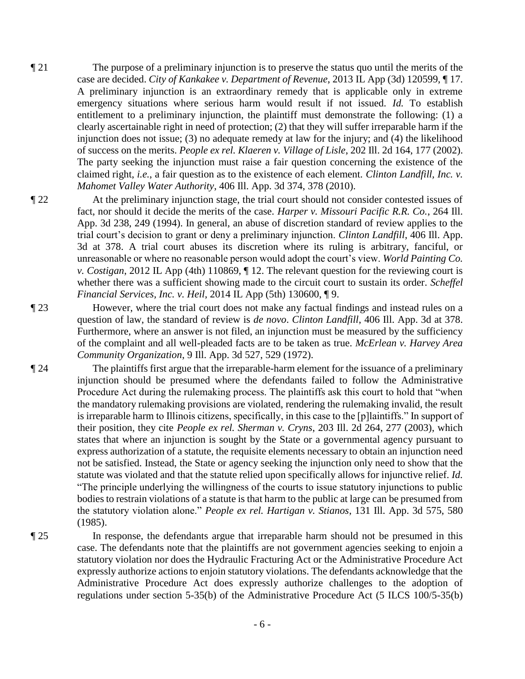- ¶ 21 The purpose of a preliminary injunction is to preserve the status quo until the merits of the case are decided. *City of Kankakee v. Department of Revenue*, 2013 IL App (3d) 120599, ¶ 17. A preliminary injunction is an extraordinary remedy that is applicable only in extreme emergency situations where serious harm would result if not issued. *Id.* To establish entitlement to a preliminary injunction, the plaintiff must demonstrate the following: (1) a clearly ascertainable right in need of protection; (2) that they will suffer irreparable harm if the injunction does not issue; (3) no adequate remedy at law for the injury; and (4) the likelihood of success on the merits. *People ex rel. Klaeren v. Village of Lisle*, 202 Ill. 2d 164, 177 (2002). The party seeking the injunction must raise a fair question concerning the existence of the claimed right, *i.e.*, a fair question as to the existence of each element. *Clinton Landfill, Inc. v. Mahomet Valley Water Authority*, 406 Ill. App. 3d 374, 378 (2010).
- ¶ 22 At the preliminary injunction stage, the trial court should not consider contested issues of fact, nor should it decide the merits of the case. *Harper v. Missouri Pacific R.R. Co.*, 264 Ill. App. 3d 238, 249 (1994). In general, an abuse of discretion standard of review applies to the trial court's decision to grant or deny a preliminary injunction. *Clinton Landfill*, 406 Ill. App. 3d at 378. A trial court abuses its discretion where its ruling is arbitrary, fanciful, or unreasonable or where no reasonable person would adopt the court's view. *World Painting Co. v. Costigan*, 2012 IL App (4th) 110869, ¶ 12. The relevant question for the reviewing court is whether there was a sufficient showing made to the circuit court to sustain its order. *Scheffel Financial Services, Inc. v. Heil*, 2014 IL App (5th) 130600, ¶ 9.
- ¶ 23 However, where the trial court does not make any factual findings and instead rules on a question of law, the standard of review is *de novo*. *Clinton Landfill*, 406 Ill. App. 3d at 378. Furthermore, where an answer is not filed, an injunction must be measured by the sufficiency of the complaint and all well-pleaded facts are to be taken as true. *McErlean v. Harvey Area Community Organization*, 9 Ill. App. 3d 527, 529 (1972).

¶ 24 The plaintiffs first argue that the irreparable-harm element for the issuance of a preliminary injunction should be presumed where the defendants failed to follow the Administrative Procedure Act during the rulemaking process. The plaintiffs ask this court to hold that "when the mandatory rulemaking provisions are violated, rendering the rulemaking invalid, the result is irreparable harm to Illinois citizens, specifically, in this case to the [p]laintiffs." In support of their position, they cite *People ex rel. Sherman v. Cryns*, 203 Ill. 2d 264, 277 (2003), which states that where an injunction is sought by the State or a governmental agency pursuant to express authorization of a statute, the requisite elements necessary to obtain an injunction need not be satisfied. Instead, the State or agency seeking the injunction only need to show that the statute was violated and that the statute relied upon specifically allows for injunctive relief. *Id.* "The principle underlying the willingness of the courts to issue statutory injunctions to public bodies to restrain violations of a statute is that harm to the public at large can be presumed from the statutory violation alone." *People ex rel. Hartigan v. Stianos*, 131 Ill. App. 3d 575, 580 (1985).

¶ 25 In response, the defendants argue that irreparable harm should not be presumed in this case. The defendants note that the plaintiffs are not government agencies seeking to enjoin a statutory violation nor does the Hydraulic Fracturing Act or the Administrative Procedure Act expressly authorize actions to enjoin statutory violations. The defendants acknowledge that the Administrative Procedure Act does expressly authorize challenges to the adoption of regulations under section 5-35(b) of the Administrative Procedure Act (5 ILCS 100/5-35(b)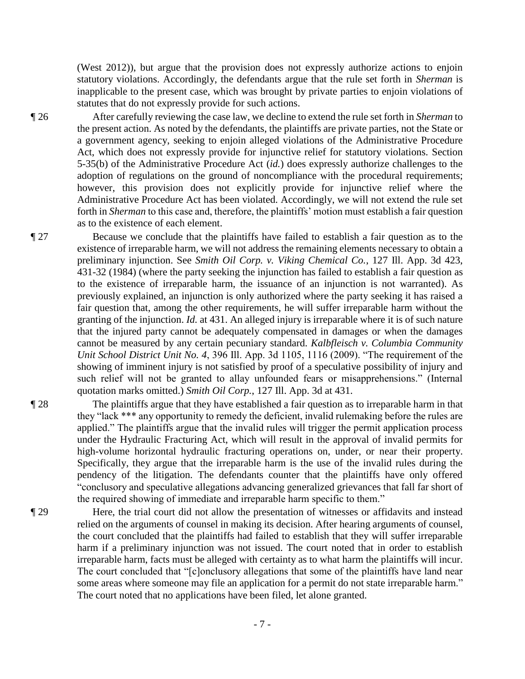(West 2012)), but argue that the provision does not expressly authorize actions to enjoin statutory violations. Accordingly, the defendants argue that the rule set forth in *Sherman* is inapplicable to the present case, which was brought by private parties to enjoin violations of statutes that do not expressly provide for such actions.

¶ 26 After carefully reviewing the case law, we decline to extend the rule set forth in *Sherman* to the present action. As noted by the defendants, the plaintiffs are private parties, not the State or a government agency, seeking to enjoin alleged violations of the Administrative Procedure Act, which does not expressly provide for injunctive relief for statutory violations. Section 5-35(b) of the Administrative Procedure Act (*id.*) does expressly authorize challenges to the adoption of regulations on the ground of noncompliance with the procedural requirements; however, this provision does not explicitly provide for injunctive relief where the Administrative Procedure Act has been violated. Accordingly, we will not extend the rule set forth in *Sherman* to this case and, therefore, the plaintiffs' motion must establish a fair question as to the existence of each element.

¶ 27 Because we conclude that the plaintiffs have failed to establish a fair question as to the existence of irreparable harm, we will not address the remaining elements necessary to obtain a preliminary injunction. See *Smith Oil Corp. v. Viking Chemical Co.*, 127 Ill. App. 3d 423, 431-32 (1984) (where the party seeking the injunction has failed to establish a fair question as to the existence of irreparable harm, the issuance of an injunction is not warranted). As previously explained, an injunction is only authorized where the party seeking it has raised a fair question that, among the other requirements, he will suffer irreparable harm without the granting of the injunction. *Id.* at 431. An alleged injury is irreparable where it is of such nature that the injured party cannot be adequately compensated in damages or when the damages cannot be measured by any certain pecuniary standard. *Kalbfleisch v. Columbia Community Unit School District Unit No. 4*, 396 Ill. App. 3d 1105, 1116 (2009). "The requirement of the showing of imminent injury is not satisfied by proof of a speculative possibility of injury and such relief will not be granted to allay unfounded fears or misapprehensions." (Internal quotation marks omitted.) *Smith Oil Corp.*, 127 Ill. App. 3d at 431.

¶ 28 The plaintiffs argue that they have established a fair question as to irreparable harm in that they "lack \*\*\* any opportunity to remedy the deficient, invalid rulemaking before the rules are applied." The plaintiffs argue that the invalid rules will trigger the permit application process under the Hydraulic Fracturing Act, which will result in the approval of invalid permits for high-volume horizontal hydraulic fracturing operations on, under, or near their property. Specifically, they argue that the irreparable harm is the use of the invalid rules during the pendency of the litigation. The defendants counter that the plaintiffs have only offered "conclusory and speculative allegations advancing generalized grievances that fall far short of the required showing of immediate and irreparable harm specific to them."

¶ 29 Here, the trial court did not allow the presentation of witnesses or affidavits and instead relied on the arguments of counsel in making its decision. After hearing arguments of counsel, the court concluded that the plaintiffs had failed to establish that they will suffer irreparable harm if a preliminary injunction was not issued. The court noted that in order to establish irreparable harm, facts must be alleged with certainty as to what harm the plaintiffs will incur. The court concluded that "[c]onclusory allegations that some of the plaintiffs have land near some areas where someone may file an application for a permit do not state irreparable harm." The court noted that no applications have been filed, let alone granted.